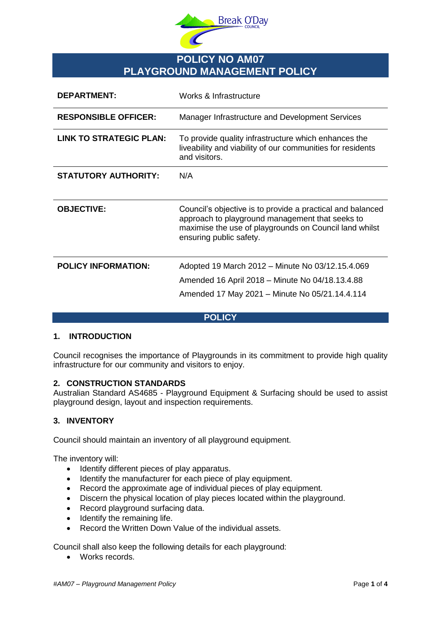

# **POLICY NO AM07 PLAYGROUND MANAGEMENT POLICY**

| <b>DEPARTMENT:</b>             | Works & Infrastructure                                                                                                                                                                             |
|--------------------------------|----------------------------------------------------------------------------------------------------------------------------------------------------------------------------------------------------|
| <b>RESPONSIBLE OFFICER:</b>    | Manager Infrastructure and Development Services                                                                                                                                                    |
| <b>LINK TO STRATEGIC PLAN:</b> | To provide quality infrastructure which enhances the<br>liveability and viability of our communities for residents<br>and visitors.                                                                |
| <b>STATUTORY AUTHORITY:</b>    | N/A                                                                                                                                                                                                |
| <b>OBJECTIVE:</b>              | Council's objective is to provide a practical and balanced<br>approach to playground management that seeks to<br>maximise the use of playgrounds on Council land whilst<br>ensuring public safety. |
| <b>POLICY INFORMATION:</b>     | Adopted 19 March 2012 – Minute No 03/12.15.4.069<br>Amended 16 April 2018 – Minute No 04/18.13.4.88<br>Amended 17 May 2021 - Minute No 05/21.14.4.114                                              |

# **POLICY**

# **1. INTRODUCTION**

Council recognises the importance of Playgrounds in its commitment to provide high quality infrastructure for our community and visitors to enjoy.

# **2. CONSTRUCTION STANDARDS**

Australian Standard AS4685 - Playground Equipment & Surfacing should be used to assist playground design, layout and inspection requirements.

# **3. INVENTORY**

Council should maintain an inventory of all playground equipment.

The inventory will:

- Identify different pieces of play apparatus.
- Identify the manufacturer for each piece of play equipment.
- Record the approximate age of individual pieces of play equipment.
- Discern the physical location of play pieces located within the playground.
- Record playground surfacing data.
- Identify the remaining life.
- Record the Written Down Value of the individual assets.

Council shall also keep the following details for each playground:

Works records.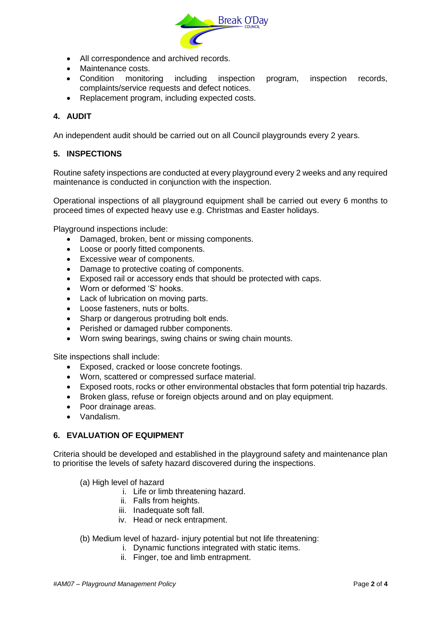

- All correspondence and archived records.
- Maintenance costs.
- Condition monitoring including inspection program, inspection records, complaints/service requests and defect notices.
- Replacement program, including expected costs.

# **4. AUDIT**

An independent audit should be carried out on all Council playgrounds every 2 years.

# **5. INSPECTIONS**

Routine safety inspections are conducted at every playground every 2 weeks and any required maintenance is conducted in conjunction with the inspection.

Operational inspections of all playground equipment shall be carried out every 6 months to proceed times of expected heavy use e.g. Christmas and Easter holidays.

Playground inspections include:

- Damaged, broken, bent or missing components.
- Loose or poorly fitted components.
- Excessive wear of components.
- Damage to protective coating of components.
- Exposed rail or accessory ends that should be protected with caps.
- Worn or deformed 'S' hooks.
- Lack of lubrication on moving parts.
- Loose fasteners, nuts or bolts.
- Sharp or dangerous protruding bolt ends.
- Perished or damaged rubber components.
- Worn swing bearings, swing chains or swing chain mounts.

Site inspections shall include:

- Exposed, cracked or loose concrete footings.
- Worn, scattered or compressed surface material.
- Exposed roots, rocks or other environmental obstacles that form potential trip hazards.
- Broken glass, refuse or foreign objects around and on play equipment.
- Poor drainage areas.
- Vandalism.

# **6. EVALUATION OF EQUIPMENT**

Criteria should be developed and established in the playground safety and maintenance plan to prioritise the levels of safety hazard discovered during the inspections.

- (a) High level of hazard
	- i. Life or limb threatening hazard.
	- ii. Falls from heights.
	- iii. Inadequate soft fall.
	- iv. Head or neck entrapment.
- (b) Medium level of hazard- injury potential but not life threatening:
	- i. Dynamic functions integrated with static items.
	- ii. Finger, toe and limb entrapment.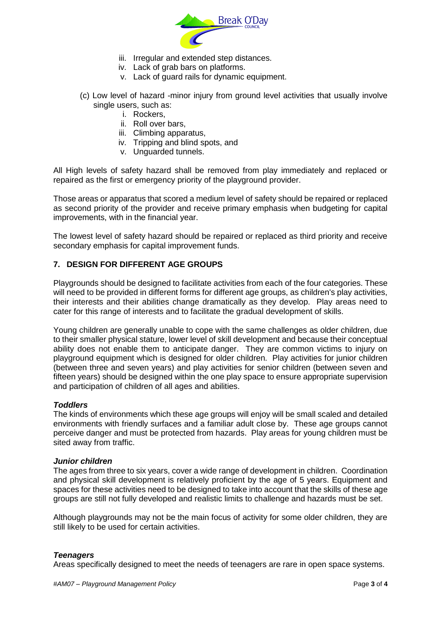

- iii. Irregular and extended step distances.
- iv. Lack of grab bars on platforms.
- v. Lack of guard rails for dynamic equipment.
- (c) Low level of hazard -minor injury from ground level activities that usually involve single users, such as:
	- i. Rockers,
	- ii. Roll over bars,
	- iii. Climbing apparatus,
	- iv. Tripping and blind spots, and
	- v. Unguarded tunnels.

All High levels of safety hazard shall be removed from play immediately and replaced or repaired as the first or emergency priority of the playground provider.

Those areas or apparatus that scored a medium level of safety should be repaired or replaced as second priority of the provider and receive primary emphasis when budgeting for capital improvements, with in the financial year.

The lowest level of safety hazard should be repaired or replaced as third priority and receive secondary emphasis for capital improvement funds.

# **7. DESIGN FOR DIFFERENT AGE GROUPS**

Playgrounds should be designed to facilitate activities from each of the four categories. These will need to be provided in different forms for different age groups, as children's play activities, their interests and their abilities change dramatically as they develop. Play areas need to cater for this range of interests and to facilitate the gradual development of skills.

Young children are generally unable to cope with the same challenges as older children, due to their smaller physical stature, lower level of skill development and because their conceptual ability does not enable them to anticipate danger. They are common victims to injury on playground equipment which is designed for older children. Play activities for junior children (between three and seven years) and play activities for senior children (between seven and fifteen years) should be designed within the one play space to ensure appropriate supervision and participation of children of all ages and abilities.

#### *Toddlers*

The kinds of environments which these age groups will enjoy will be small scaled and detailed environments with friendly surfaces and a familiar adult close by. These age groups cannot perceive danger and must be protected from hazards. Play areas for young children must be sited away from traffic.

#### *Junior children*

The ages from three to six years, cover a wide range of development in children. Coordination and physical skill development is relatively proficient by the age of 5 years. Equipment and spaces for these activities need to be designed to take into account that the skills of these age groups are still not fully developed and realistic limits to challenge and hazards must be set.

Although playgrounds may not be the main focus of activity for some older children, they are still likely to be used for certain activities.

#### *Teenagers*

Areas specifically designed to meet the needs of teenagers are rare in open space systems.